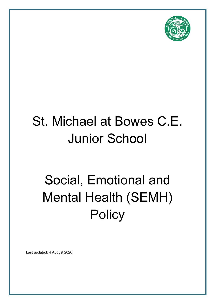

# St. Michael at Bowes C.E. Junior School

# Social, Emotional and Mental Health (SEMH) **Policy**

Last updated: 4 August 2020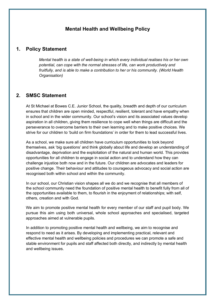## **Mental Health and Wellbeing Policy**

### **1. Policy Statement**

*Mental health is a state of well-being in which every individual realises his or her own potential, can cope with the normal stresses of life, can work productively and fruitfully, and is able to make a contribution to her or his community. (World Health Organisation)* 

## **2. SMSC Statement**

At St Michael at Bowes C.E. Junior School, the quality, breadth and depth of our curriculum ensures that children are open minded, respectful, resilient, tolerant and have empathy when in school and in the wider community. Our school's vision and its associated values develop aspiration in all children, giving them resilience to cope well when things are difficult and the perseverance to overcome barriers to their own learning and to make positive choices. We strive for our children to 'build on firm foundations' in order for them to lead successful lives.

As a school, we make sure all children have curriculum opportunities to look beyond themselves, ask 'big questions' and think globally about life and develop an understanding of disadvantage, deprivation and the exploitation of the natural and human world. This provides opportunities for all children to engage in social action and to understand how they can challenge injustice both now and in the future. Our children are advocates and leaders for positive change. Their behaviour and attitudes to courageous advocacy and social action are recognised both within school and within the community.

In our school, our Christian vision shapes all we do and we recognise that all members of the school community need the foundation of positive mental health to benefit fully from all of the opportunities available to them, to flourish in the enjoyment of relationships; with self, others, creation and with God.

We aim to promote positive mental health for every member of our staff and pupil body. We pursue this aim using both universal, whole school approaches and specialised, targeted approaches aimed at vulnerable pupils.

In addition to promoting positive mental health and wellbeing, we aim to recognise and respond to need as it arises. By developing and implementing practical, relevant and effective mental health and wellbeing policies and procedures we can promote a safe and stable environment for pupils and staff affected both directly, and indirectly by mental health and wellbeing issues.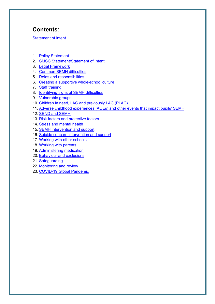# **Contents:**

Statement of intent

- 1. Policy Statement
- 2. SMSC Statement/Statement of Intent
- 3. Legal Framework
- 4. Common SEMH difficulties
- 5. Roles and responsibilities
- 6. Creating a supportive whole-school culture
- 7. Staff training
- 8. Identifying signs of SEMH difficulties
- 9. Vulnerable groups
- 10. Children in need, LAC and previously LAC (PLAC)
- 11. Adverse childhood experiences (ACEs) and other events that impact pupils' SEMH
- 12. SEND and SEMH
- 13. Risk factors and protective factors
- 14. Stress and mental health
- 15. SEMH intervention and support
- 16. Suicide concern intervention and support
- 17. Working with other schools
- 18. Working with parents
- 19. Administering medication
- 20. Behaviour and exclusions
- 21. Safeguarding
- 22. Monitoring and review
- 23. COVID-19 Global Pandemic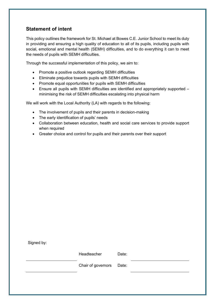## **Statement of intent**

This policy outlines the framework for St. Michael at Bowes C.E. Junior School to meet its duty in providing and ensuring a high quality of education to all of its pupils, including pupils with social, emotional and mental health (SEMH) difficulties, and to do everything it can to meet the needs of pupils with SEMH difficulties.

Through the successful implementation of this policy, we aim to:

- Promote a positive outlook regarding SEMH difficulties
- Eliminate prejudice towards pupils with SEMH difficulties
- Promote equal opportunities for pupils with SEMH difficulties
- Ensure all pupils with SEMH difficulties are identified and appropriately supported minimising the risk of SEMH difficulties escalating into physical harm

We will work with the Local Authority (LA) with regards to the following:

- The involvement of pupils and their parents in decision-making
- The early identification of pupils' needs
- Collaboration between education, health and social care services to provide support when required
- Greater choice and control for pupils and their parents over their support

| Signed by: |                    |       |  |
|------------|--------------------|-------|--|
|            | Headteacher        | Date: |  |
|            | Chair of governors | Date: |  |
|            |                    |       |  |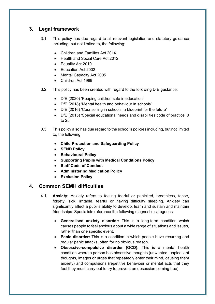## **3. Legal framework**

- 3.1. This policy has due regard to all relevant legislation and statutory guidance including, but not limited to, the following:
	- Children and Families Act 2014
	- Health and Social Care Act 2012
	- Equality Act 2010
	- Education Act 2002
	- Mental Capacity Act 2005
	- Children Act 1989
- 3.2. This policy has been created with regard to the following DfE guidance:
	- DfE (2020) 'Keeping children safe in education'
	- DfE (2018) 'Mental health and behaviour in schools'
	- DfE (2016) 'Counselling in schools: a blueprint for the future'
	- DfE (2015) 'Special educational needs and disabilities code of practice: 0 to 25'
- 3.3. This policy also has due regard to the school's policies including, but not limited to, the following:
	- **Child Protection and Safeguarding Policy**
	- **SEND Policy**
	- **Behavioural Policy**
	- **Supporting Pupils with Medical Conditions Policy**
	- **Staff Code of Conduct**
	- **Administering Medication Policy**
	- **Exclusion Policy**

## **4. Common SEMH difficulties**

- 4.1. **Anxiety:** Anxiety refers to feeling fearful or panicked, breathless, tense, fidgety, sick, irritable, tearful or having difficulty sleeping. Anxiety can significantly affect a pupil's ability to develop, learn and sustain and maintain friendships. Specialists reference the following diagnostic categories:
	- **Generalised anxiety disorder:** This is a long-term condition which causes people to feel anxious about a wide range of situations and issues, rather than one specific event.
	- **Panic disorder:** This is a condition in which people have recurring and regular panic attacks, often for no obvious reason.
	- **Obsessive-compulsive disorder (OCD):** This is a mental health condition where a person has obsessive thoughts (unwanted, unpleasant thoughts, images or urges that repeatedly enter their mind, causing them anxiety) and compulsions (repetitive behaviour or mental acts that they feel they must carry out to try to prevent an obsession coming true).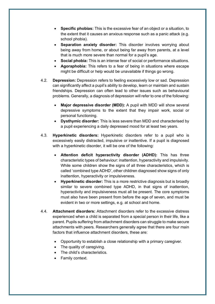- **Specific phobias:** This is the excessive fear of an object or a situation, to the extent that it causes an anxious response such as a panic attack (e.g. school phobia).
- **Separation anxiety disorder:** This disorder involves worrying about being away from home, or about being far away from parents, at a level that is much more severe than normal for a pupil's age.
- **Social phobia:** This is an intense fear of social or performance situations.
- **Agoraphobia:** This refers to a fear of being in situations where escape might be difficult or help would be unavailable if things go wrong.
- 4.2. **Depression:** Depression refers to feeling excessively low or sad. Depression can significantly affect a pupil's ability to develop, learn or maintain and sustain friendships. Depression can often lead to other issues such as behavioural problems. Generally, a diagnosis of depression will refer to one of the following:
	- **Major depressive disorder (MDD):** A pupil with MDD will show several depressive symptoms to the extent that they impair work, social or personal functioning.
	- **Dysthymic disorder:** This is less severe than MDD and characterised by a pupil experiencing a daily depressed mood for at least two years.
- 4.3. **Hyperkinetic disorders:** Hyperkinetic disorders refer to a pupil who is excessively easily distracted, impulsive or inattentive. If a pupil is diagnosed with a hyperkinetic disorder, it will be one of the following:
	- **Attention deficit hyperactivity disorder (ADHD):** This has three characteristic types of behaviour: inattention, hyperactivity and impulsivity. While some children show the signs of all three characteristics, which is called 'combined type ADHD', other children diagnosed show signs of only inattention, hyperactivity or impulsiveness.
	- **Hyperkinetic disorder:** This is a more restrictive diagnosis but is broadly similar to severe combined type ADHD, in that signs of inattention, hyperactivity and impulsiveness must all be present. The core symptoms must also have been present from before the age of seven, and must be evident in two or more settings, e.g. at school and home.
- 4.4. **Attachment disorders:** Attachment disorders refer to the excessive distress experienced when a child is separated from a special person in their life, like a parent. Pupils suffering from attachment disorders can struggle to make secure attachments with peers. Researchers generally agree that there are four main factors that influence attachment disorders, these are:
	- Opportunity to establish a close relationship with a primary caregiver.
	- The quality of caregiving.
	- The child's characteristics.
	- Family context.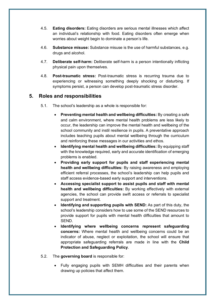- 4.5. **Eating disorders:** Eating disorders are serious mental illnesses which affect an individual's relationship with food. Eating disorders often emerge when worries about weight begin to dominate a person's life.
- 4.6. **Substance misuse:** Substance misuse is the use of harmful substances, e.g. drugs and alcohol.
- 4.7. **Deliberate self-harm:** Deliberate self-harm is a person intentionally inflicting physical pain upon themselves.
- 4.8. **Post-traumatic stress:** Post-traumatic stress is recurring trauma due to experiencing or witnessing something deeply shocking or disturbing. If symptoms persist, a person can develop post-traumatic stress disorder.

## **5. Roles and responsibilities**

- 5.1. The school's leadership as a whole is responsible for:
	- **Preventing mental health and wellbeing difficulties:** By creating a safe and calm environment, where mental health problems are less likely to occur, the leadership can improve the mental health and wellbeing of the school community and instil resilience in pupils. A preventative approach includes teaching pupils about mental wellbeing through the curriculum and reinforcing these messages in our activities and ethos.
	- **Identifying mental health and wellbeing difficulties:** By equipping staff with the knowledge required, early and accurate identification of emerging problems is enabled.
	- **Providing early support for pupils and staff experiencing mental health and wellbeing difficulties:** By raising awareness and employing efficient referral processes, the school's leadership can help pupils and staff access evidence-based early support and interventions.
	- **Accessing specialist support to assist pupils and staff with mental health and wellbeing difficulties:** By working effectively with external agencies, the school can provide swift access or referrals to specialist support and treatment.
	- **Identifying and supporting pupils with SEND:** As part of this duty, the school's leadership considers how to use some of the SEND resources to provide support for pupils with mental health difficulties that amount to SEND.
	- **Identifying where wellbeing concerns represent safeguarding concerns:** Where mental health and wellbeing concerns could be an indicator of abuse, neglect or exploitation, the school will ensure that appropriate safeguarding referrals are made in line with the **Child Protection and Safeguarding Policy**.
- 5.2. The **governing board** is responsible for:
	- Fully engaging pupils with SEMH difficulties and their parents when drawing up policies that affect them.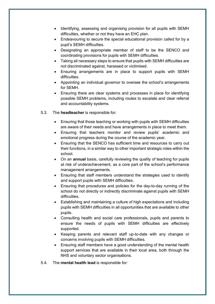- Identifying, assessing and organising provision for all pupils with SEMH difficulties, whether or not they have an EHC plan.
- Endeavouring to secure the special educational provision called for by a pupil's SEMH difficulties.
- Designating an appropriate member of staff to be the SENCO and coordinating provisions for pupils with SEMH difficulties.
- Taking all necessary steps to ensure that pupils with SEMH difficulties are not discriminated against, harassed or victimised.
- Ensuring arrangements are in place to support pupils with SEMH difficulties.
- Appointing an individual governor to oversee the school's arrangements for SEMH.
- Ensuring there are clear systems and processes in place for identifying possible SEMH problems, including routes to escalate and clear referral and accountability systems.

#### 5.3. The **headteacher** is responsible for:

- Ensuring that those teaching or working with pupils with SEMH difficulties are aware of their needs and have arrangements in place to meet them.
- Ensuring that teachers monitor and review pupils' academic and emotional progress during the course of the academic year.
- Ensuring that the SENCO has sufficient time and resources to carry out their functions, in a similar way to other important strategic roles within the school.
- On an **annual** basis, carefully reviewing the quality of teaching for pupils at risk of underachievement, as a core part of the school's performance management arrangements.
- Ensuring that staff members understand the strategies used to identify and support pupils with SEMH difficulties.
- Ensuring that procedures and policies for the day-to-day running of the school do not directly or indirectly discriminate against pupils with SEMH difficulties.
- Establishing and maintaining a culture of high expectations and including pupils with SEMH difficulties in all opportunities that are available to other pupils.
- Consulting health and social care professionals, pupils and parents to ensure the needs of pupils with SEMH difficulties are effectively supported.
- Keeping parents and relevant staff up-to-date with any changes or concerns involving pupils with SEMH difficulties.
- Ensuring staff members have a good understanding of the mental health support services that are available in their local area, both through the NHS and voluntary sector organisations.
- 5.4. The **mental health lead** is responsible for: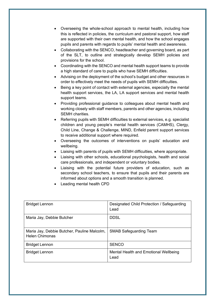- Overseeing the whole-school approach to mental health, including how this is reflected in policies, the curriculum and pastoral support, how staff are supported with their own mental health, and how the school engages pupils and parents with regards to pupils' mental health and awareness.
- Collaborating with the SENCO, headteacher and governing board, as part of the SLT, to outline and strategically develop SEMH policies and provisions for the school.
- Coordinating with the SENCO and mental health support teams to provide a high standard of care to pupils who have SEMH difficulties.
- Advising on the deployment of the school's budget and other resources in order to effectively meet the needs of pupils with SEMH difficulties.
- Being a key point of contact with external agencies, especially the mental health support services, the LA, LA support services and mental health support teams.
- Providing professional guidance to colleagues about mental health and working closely with staff members, parents and other agencies, including SEMH charities.
- Referring pupils with SEMH difficulties to external services, e.g. specialist children and young people's mental health services (CAMHS), Clergy, Child Line, Change & Challenge, MIND, Enfield parent support services to receive additional support where required.
- Overseeing the outcomes of interventions on pupils' education and wellbeing.
- Liaising with parents of pupils with SEMH difficulties, where appropriate.
- Liaising with other schools, educational psychologists, health and social care professionals, and independent or voluntary bodies.
- Liaising with the potential future providers of education, such as secondary school teachers, to ensure that pupils and their parents are informed about options and a smooth transition is planned.
- Leading mental health CPD

| <b>Bridget Lennon</b>                                                | Designated Child Protection / Safeguarding<br>Lead |
|----------------------------------------------------------------------|----------------------------------------------------|
| Maria Jay, Debbie Butcher                                            | <b>DDSL</b>                                        |
| Maria Jay, Debbie Butcher, Pauline Malcolm,<br><b>Helen Chimonas</b> | <b>SMAB Safeguarding Team</b>                      |
| <b>Bridget Lennon</b>                                                | <b>SENCO</b>                                       |
| <b>Bridget Lennon</b>                                                | Mental Health and Emotional Wellbeing<br>Lead      |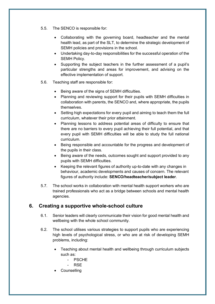- 5.5. The SENCO is responsible for:
	- Collaborating with the governing board, headteacher and the mental health lead, as part of the SLT, to determine the strategic development of SEMH policies and provisions in the school.
	- Undertaking day-to-day responsibilities for the successful operation of the SEMH Policy.
	- Supporting the subject teachers in the further assessment of a pupil's particular strengths and areas for improvement, and advising on the effective implementation of support.
- 5.6. Teaching staff are responsible for:
	- Being aware of the signs of SEMH difficulties.
	- Planning and reviewing support for their pupils with SEMH difficulties in collaboration with parents, the SENCO and, where appropriate, the pupils themselves.
	- Setting high expectations for every pupil and aiming to teach them the full curriculum, whatever their prior attainment.
	- Planning lessons to address potential areas of difficulty to ensure that there are no barriers to every pupil achieving their full potential, and that every pupil with SEMH difficulties will be able to study the full national curriculum.
	- Being responsible and accountable for the progress and development of the pupils in their class.
	- Being aware of the needs, outcomes sought and support provided to any pupils with SEMH difficulties.
	- Keeping the relevant figures of authority up-to-date with any changes in behaviour, academic developments and causes of concern. The relevant figures of authority include: **SENCO/headteacher/subject leader**.
- 5.7. The school works in collaboration with mental health support workers who are trained professionals who act as a bridge between schools and mental health agencies.

## **6. Creating a supportive whole-school culture**

- 6.1. Senior leaders will clearly communicate their vision for good mental health and wellbeing with the whole school community.
- 6.2. The school utilises various strategies to support pupils who are experiencing high levels of psychological stress, or who are at risk of developing SEMH problems, including:
	- Teaching about mental health and wellbeing through curriculum subjects such as:
		- PSCHE
		- RSE
	- **Counselling**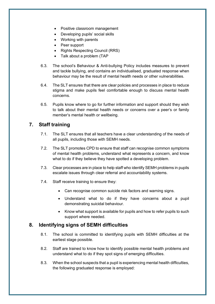- Positive classroom management
- Developing pupils' social skills
- Working with parents
- Peer support
- Rights Respecting Council (RRS)
- Talk about a problem (TAP
- 6.3. The school's Behaviour & Anti-bullying Policy includes measures to prevent and tackle bullying, and contains an individualised, graduated response when behaviour may be the result of mental health needs or other vulnerabilities.
- 6.4. The SLT ensures that there are clear policies and processes in place to reduce stigma and make pupils feel comfortable enough to discuss mental health concerns.
- 6.5. Pupils know where to go for further information and support should they wish to talk about their mental health needs or concerns over a peer's or family member's mental health or wellbeing.

## **7. Staff training**

- 7.1. The SLT ensures that all teachers have a clear understanding of the needs of all pupils, including those with SEMH needs.
- 7.2. The SLT promotes CPD to ensure that staff can recognise common symptoms of mental health problems, understand what represents a concern, and know what to do if they believe they have spotted a developing problem.
- 7.3. Clear processes are in place to help staff who identify SEMH problems in pupils escalate issues through clear referral and accountability systems.
- 7.4. Staff receive training to ensure they:
	- Can recognise common suicide risk factors and warning signs.
	- Understand what to do if they have concerns about a pupil demonstrating suicidal behaviour.
	- Know what support is available for pupils and how to refer pupils to such support where needed.

## **8. Identifying signs of SEMH difficulties**

- 8.1. The school is committed to identifying pupils with SEMH difficulties at the earliest stage possible.
- 8.2. Staff are trained to know how to identify possible mental health problems and understand what to do if they spot signs of emerging difficulties.
- 8.3. When the school suspects that a pupil is experiencing mental health difficulties, the following graduated response is employed: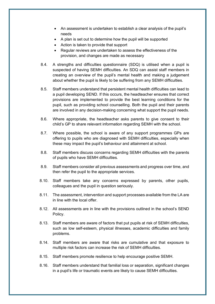- An assessment is undertaken to establish a clear analysis of the pupil's needs
- A plan is set out to determine how the pupil will be supported
- Action is taken to provide that support
- Regular reviews are undertaken to assess the effectiveness of the provision, and changes are made as necessary
- 8.4. A strengths and difficulties questionnaire (SDQ) is utilised when a pupil is suspected of having SEMH difficulties. An SDQ can assist staff members in creating an overview of the pupil's mental health and making a judgement about whether the pupil is likely to be suffering from any SEMH difficulties.
- 8.5. Staff members understand that persistent mental health difficulties can lead to a pupil developing SEND. If this occurs, the headteacher ensures that correct provisions are implemented to provide the best learning conditions for the pupil, such as providing school counselling. Both the pupil and their parents are involved in any decision-making concerning what support the pupil needs.
- 8.6. Where appropriate, the headteacher asks parents to give consent to their child's GP to share relevant information regarding SEMH with the school.
- 8.7. Where possible, the school is aware of any support programmes GPs are offering to pupils who are diagnosed with SEMH difficulties, especially when these may impact the pupil's behaviour and attainment at school.
- 8.8. Staff members discuss concerns regarding SEMH difficulties with the parents of pupils who have SEMH difficulties.
- 8.9. Staff members consider all previous assessments and progress over time, and then refer the pupil to the appropriate services.
- 8.10. Staff members take any concerns expressed by parents, other pupils, colleagues and the pupil in question seriously.
- 8.11. The assessment, intervention and support processes available from the LA are in line with the local offer.
- 8.12. All assessments are in line with the provisions outlined in the school's SEND Policy.
- 8.13. Staff members are aware of factors that put pupils at risk of SEMH difficulties, such as low self-esteem, physical illnesses, academic difficulties and family problems.
- 8.14. Staff members are aware that risks are cumulative and that exposure to multiple risk factors can increase the risk of SEMH difficulties.
- 8.15. Staff members promote resilience to help encourage positive SEMH.
- 8.16. Staff members understand that familial loss or separation, significant changes in a pupil's life or traumatic events are likely to cause SEMH difficulties.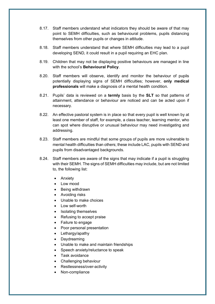- 8.17. Staff members understand what indicators they should be aware of that may point to SEMH difficulties, such as behavioural problems, pupils distancing themselves from other pupils or changes in attitude.
- 8.18. Staff members understand that where SEMH difficulties may lead to a pupil developing SEND, it could result in a pupil requiring an EHC plan.
- 8.19. Children that may not be displaying positive behaviours are managed in line with the school's **Behavioural Policy**.
- 8.20. Staff members will observe, identify and monitor the behaviour of pupils potentially displaying signs of SEMH difficulties; however, **only medical professionals** will make a diagnosis of a mental health condition.
- 8.21. Pupils' data is reviewed on a **termly** basis by the **SLT** so that patterns of attainment, attendance or behaviour are noticed and can be acted upon if necessary.
- 8.22. An effective pastoral system is in place so that every pupil is well known by at least one member of staff, for example, a class teacher, learning mentor, who can spot where disruptive or unusual behaviour may need investigating and addressing.
- 8.23. Staff members are mindful that some groups of pupils are more vulnerable to mental health difficulties than others; these include LAC, pupils with SEND and pupils from disadvantaged backgrounds.
- 8.24. Staff members are aware of the signs that may indicate if a pupil is struggling with their SEMH. The signs of SEMH difficulties may include, but are not limited to, the following list:
	- Anxiety
	- Low mood
	- Being withdrawn
	- Avoiding risks
	- Unable to make choices
	- Low self-worth
	- Isolating themselves
	- Refusing to accept praise
	- Failure to engage
	- Poor personal presentation
	- Lethargy/apathy
	- Daydreaming
	- Unable to make and maintain friendships
	- Speech anxiety/reluctance to speak
	- Task avoidance
	- Challenging behaviour
	- Restlessness/over-activity
	- Non-compliance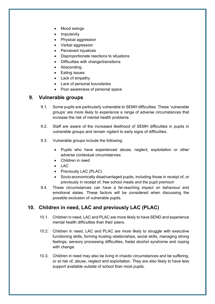- Mood swings
- Impulsivity
- Physical aggression
- Verbal aggression
- Perceived injustices
- Disproportionate reactions to situations
- Difficulties with change/transitions
- Absconding
- Eating issues
- Lack of empathy
- Lack of personal boundaries
- Poor awareness of personal space

## **9. Vulnerable groups**

- 9.1. Some pupils are particularly vulnerable to SEMH difficulties. These 'vulnerable groups' are more likely to experience a range of adverse circumstances that increase the risk of mental health problems.
- 9.2. Staff are aware of the increased likelihood of SEMH difficulties in pupils in vulnerable groups and remain vigilant to early signs of difficulties.
- 9.3. Vulnerable groups include the following:
	- Pupils who have experienced abuse, neglect, exploitation or other adverse contextual circumstances
	- Children in need
	- $\bullet$  LAC
	- Previously LAC (PLAC)
	- Socio-economically disadvantaged pupils, including those in receipt of, or previously in receipt of, free school meals and the pupil premium
- 9.4. These circumstances can have a far-reaching impact on behaviour and emotional states. These factors will be considered when discussing the possible exclusion of vulnerable pupils.

# **10. Children in need, LAC and previously LAC (PLAC)**

- 10.1. Children in need, LAC and PLAC are more likely to have SEND and experience mental health difficulties than their peers.
- 10.2. Children in need, LAC and PLAC are more likely to struggle with executive functioning skills, forming trusting relationships, social skills, managing strong feelings, sensory processing difficulties, foetal alcohol syndrome and coping with change.
- 10.3. Children in need may also be living in chaotic circumstances and be suffering, or at risk of, abuse, neglect and exploitation. They are also likely to have less support available outside of school than most pupils.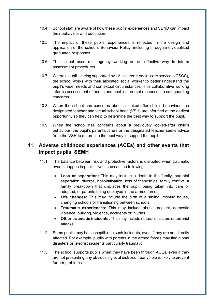- 10.4. School staff are aware of how these pupils' experiences and SEND can impact their behaviour and education.
- 10.5. The impact of these pupils' experiences is reflected in the design and application of the school's Behaviour Policy, including through individualised graduated responses.
- 10.6. The school uses multi-agency working as an effective way to inform assessment procedures.
- 10.7. Where a pupil is being supported by LA children's social care services (CSCS), the school works with their allocated social worker to better understand the pupil's wider needs and contextual circumstances. This collaborative working informs assessment of needs and enables prompt responses to safeguarding concerns.
- 10.8. When the school has concerns about a looked-after child's behaviour, the designated teacher and virtual school head (VSH) are informed at the earliest opportunity so they can help to determine the best way to support the pupil.
- 10.9. When the school has concerns about a previously looked-after child's behaviour, the pupil's parents/carers or the designated teacher seeks advice from the VSH to determine the best way to support the pupil.

## **11. Adverse childhood experiences (ACEs) and other events that impact pupils' SEMH**

- 11.1. The balance between risk and protective factors is disrupted when traumatic events happen in pupils' lives, such as the following:
	- **Loss or separation:** This may include a death in the family, parental separation, divorce, hospitalisation, loss of friendships, family conflict, a family breakdown that displaces the pupil, being taken into care or adopted, or parents being deployed in the armed forces.
	- **Life changes:** This may include the birth of a sibling, moving house, changing schools or transitioning between schools.
	- **Traumatic experiences:** This may include abuse, neglect, domestic violence, bullying, violence, accidents or injuries.
	- **Other traumatic incidents:** This may include natural disasters or terrorist attacks.
- 11.2. Some pupils may be susceptible to such incidents, even if they are not directly affected. For example, pupils with parents in the armed forces may find global disasters or terrorist incidents particularly traumatic.
- 11.3. The school supports pupils when they have been through ACEs, even if they are not presenting any obvious signs of distress – early help is likely to prevent further problems.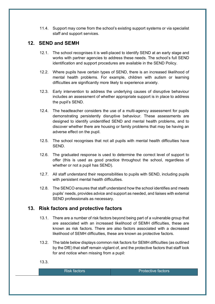11.4. Support may come from the school's existing support systems or via specialist staff and support services.

## **12. SEND and SEMH**

- 12.1. The school recognises it is well-placed to identify SEND at an early stage and works with partner agencies to address these needs. The school's full SEND identification and support procedures are available in the SEND Policy.
- 12.2. Where pupils have certain types of SEND, there is an increased likelihood of mental health problems. For example, children with autism or learning difficulties are significantly more likely to experience anxiety.
- 12.3. Early intervention to address the underlying causes of disruptive behaviour includes an assessment of whether appropriate support is in place to address the pupil's SEND.
- 12.4. The headteacher considers the use of a multi-agency assessment for pupils demonstrating persistently disruptive behaviour. These assessments are designed to identify unidentified SEND and mental health problems, and to discover whether there are housing or family problems that may be having an adverse effect on the pupil.
- 12.5. The school recognises that not all pupils with mental health difficulties have SEND.
- 12.6. The graduated response is used to determine the correct level of support to offer (this is used as good practice throughout the school, regardless of whether or not a pupil has SEND).
- 12.7. All staff understand their responsibilities to pupils with SEND, including pupils with persistent mental health difficulties.
- 12.8. The SENCO ensures that staff understand how the school identifies and meets pupils' needs, provides advice and support as needed, and liaises with external SEND professionals as necessary.

## **13. Risk factors and protective factors**

- 13.1. There are a number of risk factors beyond being part of a vulnerable group that are associated with an increased likelihood of SEMH difficulties, these are known as risk factors. There are also factors associated with a decreased likelihood of SEMH difficulties, these are known as protective factors.
- 13.2. The table below displays common risk factors for SEMH difficulties (as outlined by the DfE) that staff remain vigilant of, and the protective factors that staff look for and notice when missing from a pupil:

13.3.

| lRisk factors <sup>i</sup> | <b>Protective factors</b> |
|----------------------------|---------------------------|
|                            |                           |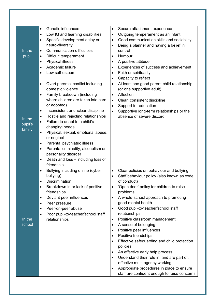|         | Genetic influences<br>$\bullet$<br>Low IQ and learning disabilities<br>$\bullet$ | Secure attachment experience<br>$\bullet$<br>Outgoing temperament as an infant<br>٠              |
|---------|----------------------------------------------------------------------------------|--------------------------------------------------------------------------------------------------|
|         | Specific development delay or<br>$\bullet$<br>neuro-diversity                    | Good communication skills and sociability<br>$\bullet$<br>Being a planner and having a belief in |
| In the  | <b>Communication difficulties</b><br>$\bullet$                                   | control                                                                                          |
| pupil   | Difficult temperament<br>$\bullet$                                               | Humour                                                                                           |
|         | <b>Physical illness</b><br>$\bullet$                                             | A positive attitude<br>$\bullet$                                                                 |
|         | Academic failure<br>$\bullet$                                                    | Experiences of success and achievement<br>$\bullet$                                              |
|         | Low self-esteem<br>$\bullet$                                                     | Faith or spirituality<br>$\bullet$                                                               |
|         |                                                                                  | Capacity to reflect<br>$\bullet$<br>$\bullet$                                                    |
|         | Overt parental conflict including<br>$\bullet$<br>domestic violence              | At least one good parent-child relationship<br>(or one supportive adult)                         |
|         | Family breakdown (including<br>$\bullet$                                         | Affection<br>$\bullet$                                                                           |
|         | where children are taken into care                                               | Clear, consistent discipline<br>$\bullet$                                                        |
|         | or adopted)                                                                      | Support for education<br>$\bullet$                                                               |
|         | Inconsistent or unclear discipline<br>$\bullet$                                  | Supportive long-term relationships or the<br>$\bullet$                                           |
| In the  | Hostile and rejecting relationships<br>$\bullet$                                 | absence of severe discord                                                                        |
| pupil's | Failure to adapt to a child's<br>$\bullet$<br>changing needs                     |                                                                                                  |
| family  | Physical, sexual, emotional abuse,<br>$\bullet$                                  |                                                                                                  |
|         | or neglect                                                                       |                                                                                                  |
|         | Parental psychiatric illness<br>$\bullet$                                        |                                                                                                  |
|         | Parental criminality, alcoholism or<br>$\bullet$                                 |                                                                                                  |
|         | personality disorder                                                             |                                                                                                  |
|         | Death and loss - including loss of<br>$\bullet$                                  |                                                                                                  |
|         | friendship<br>Bullying including online (cyber<br>$\bullet$                      | Clear policies on behaviour and bullying<br>$\bullet$                                            |
|         | bullying)                                                                        | Staff behaviour policy (also known as code<br>$\bullet$                                          |
|         | Discrimination<br>$\bullet$                                                      | of conduct)                                                                                      |
|         | Breakdown in or lack of positive                                                 | 'Open door' policy for children to raise                                                         |
|         | friendships                                                                      | problems                                                                                         |
|         | Deviant peer influences<br>$\bullet$<br>Peer pressure<br>$\bullet$               | A whole-school approach to promoting<br>$\bullet$<br>good mental health                          |
|         | Peer-on-peer abuse<br>$\bullet$                                                  | Good pupil-to-teacher/school staff<br>$\bullet$                                                  |
|         | Poor pupil-to-teacher/school staff<br>$\bullet$                                  | relationships                                                                                    |
| In the  | relationships                                                                    | Positive classroom management<br>٠                                                               |
| school  |                                                                                  | A sense of belonging<br>$\bullet$                                                                |
|         |                                                                                  | Positive peer influences<br>$\bullet$                                                            |
|         |                                                                                  | Positive friendships<br>٠                                                                        |
|         |                                                                                  | Effective safeguarding and child protection<br>$\bullet$<br>policies.                            |
|         |                                                                                  | An effective early help process<br>٠                                                             |
|         |                                                                                  | Understand their role in, and are part of,<br>$\bullet$                                          |
|         |                                                                                  | effective multi-agency working                                                                   |
|         |                                                                                  | Appropriate procedures in place to ensure<br>$\bullet$                                           |
|         |                                                                                  | staff are confident enough to raise concerns                                                     |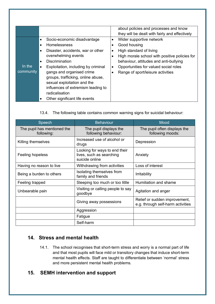|           |           |                                     |           | about policies and processes and know          |
|-----------|-----------|-------------------------------------|-----------|------------------------------------------------|
|           |           |                                     |           | they will be dealt with fairly and effectively |
|           | $\bullet$ | Socio-economic disadvantage         |           | Wider supportive network                       |
|           | $\bullet$ | <b>Homelessness</b>                 |           | Good housing                                   |
|           | $\bullet$ | Disaster, accidents, war or other   | $\bullet$ | High standard of living                        |
|           |           | overwhelming events                 | ٠         | High morale school with positive policies for  |
|           | $\bullet$ | <b>Discrimination</b>               |           | behaviour, attitudes and anti-bullying         |
| In the    | $\bullet$ | Exploitation, including by criminal | $\bullet$ | Opportunities for valued social roles          |
| community |           | gangs and organised crime           | $\bullet$ | Range of sport/leisure activities              |
|           |           | groups, trafficking, online abuse,  |           |                                                |
|           |           | sexual exploitation and the         |           |                                                |
|           |           | influences of extremism leading to  |           |                                                |
|           |           | radicalisation                      |           |                                                |
|           |           | Other significant life events       |           |                                                |

#### 13.4. The following table contains common warning signs for suicidal behaviour:

| Speech                                    | <b>Behaviour</b>                                                            | Mood                                                               |
|-------------------------------------------|-----------------------------------------------------------------------------|--------------------------------------------------------------------|
| The pupil has mentioned the<br>following: | The pupil displays the<br>following behaviour:                              | The pupil often displays the<br>following moods:                   |
| Killing themselves                        | Increased use of alcohol or<br>drugs                                        | Depression                                                         |
| Feeling hopeless                          | Looking for ways to end their<br>lives, such as searching<br>suicide online | Anxiety                                                            |
| Having no reason to live                  | Withdrawing from activities                                                 | Loss of interest                                                   |
| Being a burden to others                  | Isolating themselves from<br>family and friends                             | <b>Irritability</b>                                                |
| Feeling trapped                           | Sleeping too much or too little                                             | Humiliation and shame                                              |
| Unbearable pain                           | Visiting or calling people to say<br>goodbye                                | Agitation and anger                                                |
|                                           | Giving away possessions                                                     | Relief or sudden improvement,<br>e.g. through self-harm activities |
|                                           | Aggression                                                                  |                                                                    |
|                                           | Fatigue                                                                     |                                                                    |
|                                           | Self-harm                                                                   |                                                                    |

## **14. Stress and mental health**

14.1. The school recognises that short-term stress and worry is a normal part of life and that most pupils will face mild or transitory changes that induce short-term mental health effects. Staff are taught to differentiate between 'normal' stress and more persistent mental health problems.

## **15. SEMH intervention and support**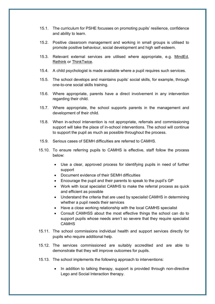- 15.1. The curriculum for PSHE focusses on promoting pupils' resilience, confidence and ability to learn.
- 15.2. Positive classroom management and working in small groups is utilised to promote positive behaviour, social development and high self-esteem.
- 15.3. Relevant external services are utilised where appropriate, e.g. MindEd, Rethink or ThinkTwice.
- 15.4. A child psychologist is made available where a pupil requires such services.
- 15.5. The school develops and maintains pupils' social skills, for example, through one-to-one social skills training.
- 15.6. Where appropriate, parents have a direct involvement in any intervention regarding their child.
- 15.7. Where appropriate, the school supports parents in the management and development of their child.
- 15.8. When in-school intervention is not appropriate, referrals and commissioning support will take the place of in-school interventions. The school will continue to support the pupil as much as possible throughout the process.
- 15.9. Serious cases of SEMH difficulties are referred to CAMHS.
- 15.10. To ensure referring pupils to CAMHS is effective, staff follow the process below:
	- Use a clear, approved process for identifying pupils in need of further support
	- Document evidence of their SEMH difficulties
	- Encourage the pupil and their parents to speak to the pupil's GP
	- Work with local specialist CAMHS to make the referral process as quick and efficient as possible
	- Understand the criteria that are used by specialist CAMHS in determining whether a pupil needs their services
	- Have a close working relationship with the local CAMHS specialist
	- Consult CAMHSS about the most effective things the school can do to support pupils whose needs aren't so severe that they require specialist **CAMHS**
- 15.11. The school commissions individual health and support services directly for pupils who require additional help.
- 15.12. The services commissioned are suitably accredited and are able to demonstrate that they will improve outcomes for pupils.
- 15.13. The school implements the following approach to interventions:
	- In addition to talking therapy, support is provided through non-directive Lego and Social Interaction therapy.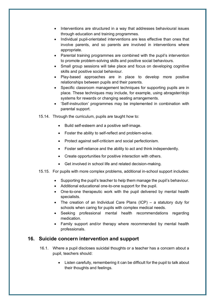- Interventions are structured in a way that addresses behavioural issues through education and training programmes.
- Individual pupil-orientated interventions are less effective than ones that involve parents, and so parents are involved in interventions where appropriate.
- Parental training programmes are combined with the pupil's intervention to promote problem-solving skills and positive social behaviours.
- Small group sessions will take place and focus on developing cognitive skills and positive social behaviour.
- Play-based approaches are in place to develop more positive relationships between pupils and their parents.
- Specific classroom management techniques for supporting pupils are in place. These techniques may include, for example, using abragster/dojo systems for rewards or changing seating arrangements.
- 'Self-instruction' programmes may be implemented in combination with parental support.
- 15.14. Through the curriculum, pupils are taught how to:
	- Build self-esteem and a positive self-image.
	- Foster the ability to self-reflect and problem-solve.
	- Protect against self-criticism and social perfectionism.
	- Foster self-reliance and the ability to act and think independently.
	- Create opportunities for positive interaction with others.
	- Get involved in school life and related decision-making.
- 15.15. For pupils with more complex problems, additional in-school support includes:
	- Supporting the pupil's teacher to help them manage the pupil's behaviour.
	- Additional educational one-to-one support for the pupil.
	- One-to-one therapeutic work with the pupil delivered by mental health specialists.
	- The creation of an Individual Care Plans (ICP) a statutory duty for schools when caring for pupils with complex medical needs.
	- Seeking professional mental health recommendations regarding medication.
	- Family support and/or therapy where recommended by mental health professionals.

### **16. Suicide concern intervention and support**

- 16.1. Where a pupil discloses suicidal thoughts or a teacher has a concern about a pupil, teachers should:
	- Listen carefully, remembering it can be difficult for the pupil to talk about their thoughts and feelings.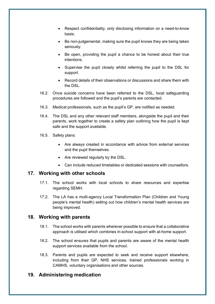- Respect confidentiality, only disclosing information on a need-to-know basis.
- Be non-judgemental, making sure the pupil knows they are being taken seriously.
- Be open, providing the pupil a chance to be honest about their true intentions.
- Supervise the pupil closely whilst referring the pupil to the DSL for support.
- Record details of their observations or discussions and share them with the DSL.
- 16.2. Once suicide concerns have been referred to the DSL, local safeguarding procedures are followed and the pupil's parents are contacted.
- 16.3. Medical professionals, such as the pupil's GP, are notified as needed.
- 16.4. The DSL and any other relevant staff members, alongside the pupil and their parents, work together to create a safety plan outlining how the pupil is kept safe and the support available.
- 16.5. Safety plans:
	- Are always created in accordance with advice from external services and the pupil themselves.
	- Are reviewed regularly by the DSL.
	- Can include reduced timetables or dedicated sessions with counsellors.

## **17. Working with other schools**

- 17.1. The school works with local schools to share resources and expertise regarding SEMH.
- 17.2. The LA has a multi-agency Local Transformation Plan (Children and Young people's mental health) setting out how children's mental health services are being improved.

## **18. Working with parents**

- 18.1. The school works with parents wherever possible to ensure that a collaborative approach is utilised which combines in-school support with at-home support.
- 18.2. The school ensures that pupils and parents are aware of the mental health support services available from the school.
- 18.3. Parents and pupils are expected to seek and receive support elsewhere, including from their GP, NHS services, trained professionals working in CAMHS, voluntary organisations and other sources.

## **19. Administering medication**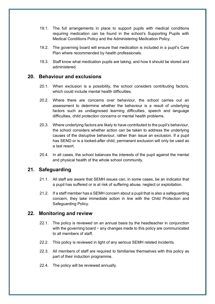- 19.1. The full arrangements in place to support pupils with medical conditions requiring medication can be found in the school's Supporting Pupils with Medical Conditions Policy and the Administering Medication Policy.
- 19.2. The governing board will ensure that medication is included in a pupil's Care Plan where recommended by health professionals.
- 19.3. Staff know what medication pupils are taking, and how it should be stored and administered.

### **20. Behaviour and exclusions**

- 20.1. When exclusion is a possibility, the school considers contributing factors, which could include mental health difficulties.
- 20.2. Where there are concerns over behaviour, the school carries out an assessment to determine whether the behaviour is a result of underlying factors such as undiagnosed learning difficulties, speech and language difficulties, child protection concerns or mental health problems.
- 20.3. Where underlying factors are likely to have contributed to the pupil's behaviour, the school considers whether action can be taken to address the underlying causes of the disruptive behaviour, rather than issue an exclusion. If a pupil has SEND or is a looked-after child, permanent exclusion will only be used as a last resort.
- 20.4. In all cases, the school balances the interests of the pupil against the mental and physical health of the whole school community.

### **21. Safeguarding**

- 21.1. All staff are aware that SEMH issues can, in some cases, be an indicator that a pupil has suffered or is at risk of suffering abuse, neglect or exploitation.
- 21.2. If a staff member has a SEMH concern about a pupil that is also a safeguarding concern, they take immediate action in line with the Child Protection and Safeguarding Policy.

#### **22. Monitoring and review**

- 22.1. The policy is reviewed on an annual basis by the headteacher in conjunction with the governing board − any changes made to this policy are communicated to all members of staff.
- 22.2. This policy is reviewed in light of any serious SEMH related incidents.
- 22.3. All members of staff are required to familiarise themselves with this policy as part of their induction programme.
- 22.4. The policy will be reviewed annually.